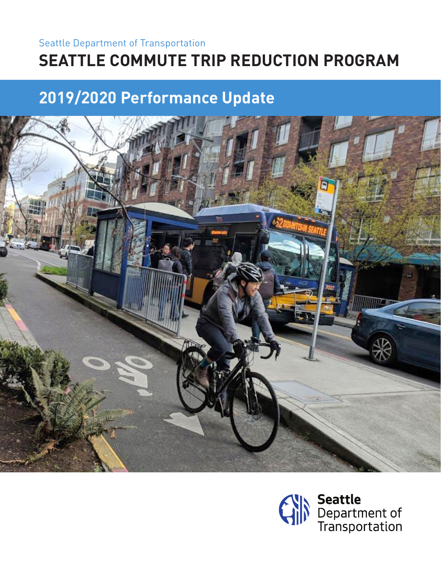## Seattle Department of Transportation **SEATTLE COMMUTE TRIP REDUCTION PROGRAM**

## **2019/2020 Performance Update**



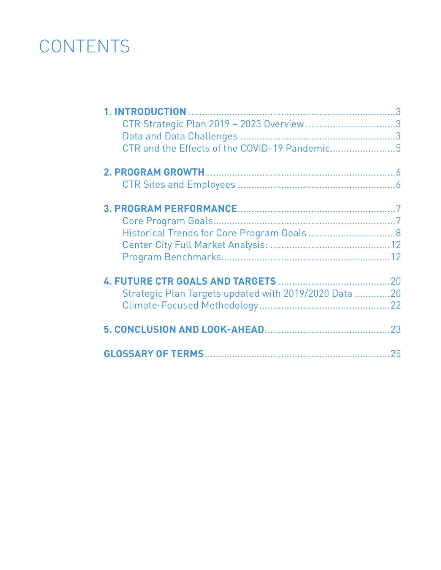# **CONTENTS**

| CTR Strategic Plan 2019 - 2023 Overview 3             |  |
|-------------------------------------------------------|--|
|                                                       |  |
| CTR and the Effects of the COVID-19 Pandemic5         |  |
|                                                       |  |
|                                                       |  |
|                                                       |  |
|                                                       |  |
|                                                       |  |
|                                                       |  |
|                                                       |  |
|                                                       |  |
|                                                       |  |
|                                                       |  |
| Strategic Plan Targets updated with 2019/2020 Data 20 |  |
|                                                       |  |
|                                                       |  |
|                                                       |  |
|                                                       |  |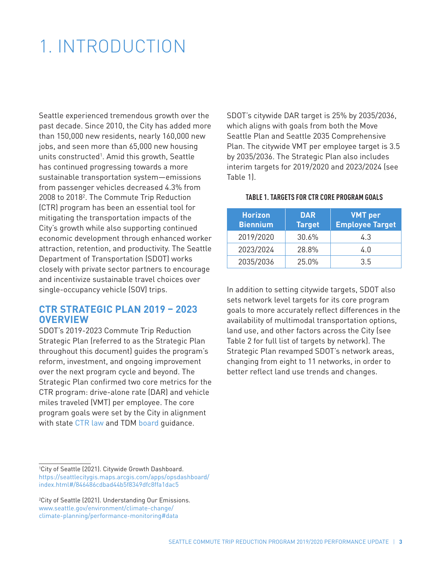## 1. INTRODUCTION

Seattle experienced tremendous growth over the past decade. Since 2010, the City has added more than 150,000 new residents, nearly 160,000 new jobs, and seen more than 65,000 new housing units constructed<sup>1</sup>. Amid this growth, Seattle has continued progressing towards a more sustainable transportation system—emissions from passenger vehicles decreased 4.3% from 2008 to 2018<sup>2</sup>. The Commute Trip Reduction (CTR) program has been an essential tool for mitigating the transportation impacts of the City's growth while also supporting continued economic development through enhanced worker attraction, retention, and productivity. The Seattle Department of Transportation (SDOT) works closely with private sector partners to encourage and incentivize sustainable travel choices over single-occupancy vehicle (SOV) trips.

### **CTR STRATEGIC PLAN 2019 – 2023 OVERVIEW**

SDOT's 2019-2023 Commute Trip Reduction Strategic Plan (referred to as the Strategic Plan throughout this document) guides the program's reform, investment, and ongoing improvement over the next program cycle and beyond. The Strategic Plan confirmed two core metrics for the CTR program: drive-alone rate (DAR) and vehicle miles traveled (VMT) per employee. The core program goals were set by the City in alignment with state [CTR law a](https://www.seattle.gov/transportation/projects-and-programs/programs/transportation-options-program/commute-trip-reduction-program)nd TDM [board](https://tdmboard.ning.com/) guidance.

1 City of Seattle (2021). Citywide Growth Dashboard. https://seattlecitygis.maps.arcgis.com/apps/opsdashboard/ index.html#/846486cdbad44b5f8349dfc8ffa1dac5

SDOT's citywide DAR target is 25% by 2035/2036, which aligns with goals from both the Move Seattle Plan and Seattle 2035 Comprehensive Plan. The citywide VMT per employee target is 3.5 by 2035/2036. The Strategic Plan also includes interim targets for 2019/2020 and 2023/2024 (see Table 1).

#### **TABLE 1. TARGETS FOR CTR CORE PROGRAM GOALS**

| <b>Horizon</b><br><b>Biennium</b> | <b>DAR</b><br><b>Target</b> | <b>VMT</b> per<br><b>Employee Target</b> |
|-----------------------------------|-----------------------------|------------------------------------------|
| 2019/2020                         | 30.6%                       | 4.3                                      |
| 2023/2024                         | 28.8%                       | 4.0                                      |
| 2035/2036                         | 25.0%                       | 35                                       |

In addition to setting citywide targets, SDOT also sets network level targets for its core program goals to more accurately reflect differences in the availability of multimodal transportation options, land use, and other factors across the City (see Table 2 for full list of targets by network). The Strategic Plan revamped SDOT's network areas, changing from eight to 11 networks, in order to better reflect land use trends and changes.

<sup>2</sup> City of Seattle (2021). Understanding Our Emissions. www.seattle.gov/environment/climate-change/ climate-planning/performance-monitoring#data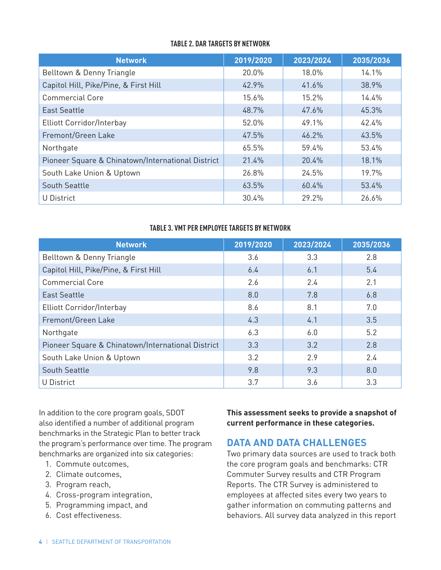#### **TABLE 2. DAR TARGETS BY NETWORK**

| <b>Network</b>                                    | 2019/2020 | 2023/2024 | 2035/2036 |
|---------------------------------------------------|-----------|-----------|-----------|
| Belltown & Denny Triangle                         | 20.0%     | 18.0%     | 14.1%     |
| Capitol Hill, Pike/Pine, & First Hill             | 42.9%     | 41.6%     | 38.9%     |
| <b>Commercial Core</b>                            | 15.6%     | 15.2%     | 14.4%     |
| <b>East Seattle</b>                               | 48.7%     | 47.6%     | 45.3%     |
| Elliott Corridor/Interbay                         | 52.0%     | 49.1%     | 42.4%     |
| Fremont/Green Lake                                | 47.5%     | 46.2%     | 43.5%     |
| Northgate                                         | 65.5%     | 59.4%     | 53.4%     |
| Pioneer Square & Chinatown/International District | 21.4%     | 20.4%     | 18.1%     |
| South Lake Union & Uptown                         | 26.8%     | 24.5%     | 19.7%     |
| <b>South Seattle</b>                              | 63.5%     | 60.4%     | 53.4%     |
| U District                                        | 30.4%     | 29.2%     | 26.6%     |

#### **TABLE 3. VMT PER EMPLOYEE TARGETS BY NETWORK**

| <b>Network</b>                                    | 2019/2020 | 2023/2024 | 2035/2036 |
|---------------------------------------------------|-----------|-----------|-----------|
| Belltown & Denny Triangle                         | 3.6       | 3.3       | 2.8       |
| Capitol Hill, Pike/Pine, & First Hill             | 6.4       | 6.1       | 5.4       |
| <b>Commercial Core</b>                            | 2.6       | 2.4       | 2.1       |
| <b>East Seattle</b>                               | 8.0       | 7.8       | 6.8       |
| Elliott Corridor/Interbay                         | 8.6       | 8.1       | 7.0       |
| Fremont/Green Lake                                | 4.3       | 4.1       | 3.5       |
| Northgate                                         | 6.3       | 6.0       | 5.2       |
| Pioneer Square & Chinatown/International District | 3.3       | 3.2       | 2.8       |
| South Lake Union & Uptown                         | 3.2       | 2.9       | 2.4       |
| <b>South Seattle</b>                              | 9.8       | 9.3       | 8.0       |
| U District                                        | 3.7       | 3.6       | 3.3       |

In addition to the core program goals, SDOT also identified a number of additional program benchmarks in the Strategic Plan to better track the program's performance over time. The program benchmarks are organized into six categories:

- 1. Commute outcomes,
- 2. Climate outcomes,
- 3. Program reach,
- 4. Cross-program integration,
- 5. Programming impact, and
- 6. Cost effectiveness.

**This assessment seeks to provide a snapshot of current performance in these categories.**

## **DATA AND DATA CHALLENGES**

Two primary data sources are used to track both the core program goals and benchmarks: CTR Commuter Survey results and CTR Program Reports. The CTR Survey is administered to employees at affected sites every two years to gather information on commuting patterns and behaviors. All survey data analyzed in this report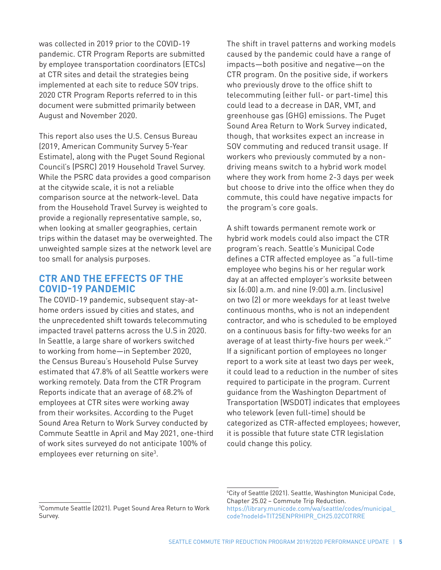was collected in 2019 prior to the COVID-19 pandemic. CTR Program Reports are submitted by employee transportation coordinators (ETCs) at CTR sites and detail the strategies being implemented at each site to reduce SOV trips. 2020 CTR Program Reports referred to in this document were submitted primarily between August and November 2020.

This report also uses the U.S. Census Bureau (2019, American Community Survey 5-Year Estimate), along with the Puget Sound Regional Council's (PSRC) 2019 Household Travel Survey. While the PSRC data provides a good comparison at the citywide scale, it is not a reliable comparison source at the network-level. Data from the Household Travel Survey is weighted to provide a regionally representative sample, so, when looking at smaller geographies, certain trips within the dataset may be overweighted. The unweighted sample sizes at the network level are too small for analysis purposes.

## **CTR AND THE EFFECTS OF THE COVID-19 PANDEMIC**

The COVID-19 pandemic, subsequent stay-athome orders issued by cities and states, and the unprecedented shift towards telecommuting impacted travel patterns across the U.S in 2020. In Seattle, a large share of workers switched to working from home—in September 2020, the Census Bureau's Household Pulse Survey estimated that 47.8% of all Seattle workers were working remotely. Data from the CTR Program Reports indicate that an average of 68.2% of employees at CTR sites were working away from their worksites. According to the Puget Sound Area Return to Work Survey conducted by Commute Seattle in April and May 2021, one-third of work sites surveyed do not anticipate 100% of employees ever returning on site<sup>3</sup>.

The shift in travel patterns and working models caused by the pandemic could have a range of impacts—both positive and negative—on the CTR program. On the positive side, if workers who previously drove to the office shift to telecommuting (either full- or part-time) this could lead to a decrease in DAR, VMT, and greenhouse gas (GHG) emissions. The Puget Sound Area Return to Work Survey indicated, though, that worksites expect an increase in SOV commuting and reduced transit usage. If workers who previously commuted by a nondriving means switch to a hybrid work model where they work from home 2-3 days per week but choose to drive into the office when they do commute, this could have negative impacts for the program's core goals.

A shift towards permanent remote work or hybrid work models could also impact the CTR program's reach. Seattle's Municipal Code defines a CTR affected employee as "a full-time employee who begins his or her regular work day at an affected employer's worksite between six (6:00) a.m. and nine (9:00) a.m. (inclusive) on two (2) or more weekdays for at least twelve continuous months, who is not an independent contractor, and who is scheduled to be employed on a continuous basis for fifty-two weeks for an average of at least thirty-five hours per week.<sup>4</sup>" If a significant portion of employees no longer report to a work site at least two days per week, it could lead to a reduction in the number of sites required to participate in the program. Current guidance from the Washington Department of Transportation (WSDOT) indicates that employees who telework (even full-time) should be categorized as CTR-affected employees; however, it is possible that future state CTR legislation could change this policy.

<sup>3</sup> Commute Seattle (2021). Puget Sound Area Return to Work Survey.

<sup>4</sup> City of Seattle (2021). Seattle, Washington Municipal Code, Chapter 25.02 – Commute Trip Reduction. https://library.municode.com/wa/seattle/codes/municipal\_ code?nodeId=TIT25ENPRHIPR\_CH25.02COTRRE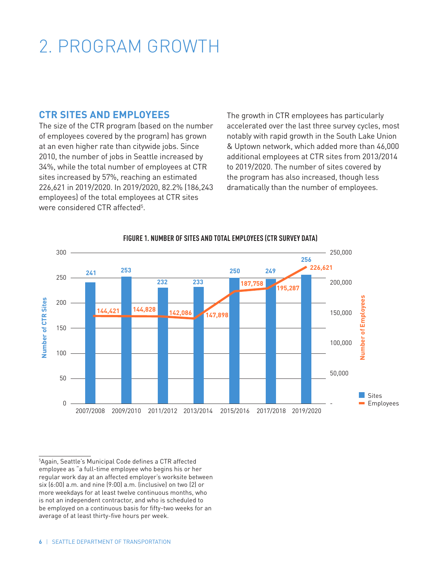# 2. PROGRAM GROWTH

## **CTR SITES AND EMPLOYEES**

The size of the CTR program (based on the number of employees covered by the program) has grown at an even higher rate than citywide jobs. Since 2010, the number of jobs in Seattle increased by 34%, while the total number of employees at CTR sites increased by 57%, reaching an estimated 226,621 in 2019/2020. In 2019/2020, 82.2% (186,243 employees) of the total employees at CTR sites were considered CTR affected<sup>5</sup>.

The growth in CTR employees has particularly accelerated over the last three survey cycles, most notably with rapid growth in the South Lake Union & Uptown network, which added more than 46,000 additional employees at CTR sites from 2013/2014 to 2019/2020. The number of sites covered by the program has also increased, though less dramatically than the number of employees.



#### **FIGURE 1. NUMBER OF SITES AND TOTAL EMPLOYEES (CTR SURVEY DATA)**

5 Again, Seattle's Municipal Code defines a CTR affected employee as "a full-time employee who begins his or her regular work day at an affected employer's worksite between six (6:00) a.m. and nine (9:00) a.m. (inclusive) on two (2) or more weekdays for at least twelve continuous months, who is not an independent contractor, and who is scheduled to be employed on a continuous basis for fifty-two weeks for an average of at least thirty-five hours per week.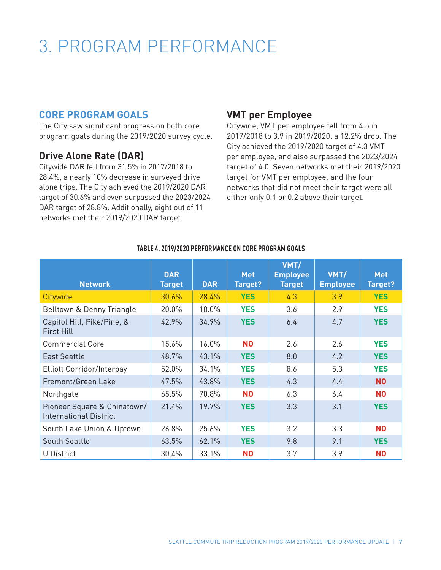## 3. PROGRAM PERFORMANCE

## **CORE PROGRAM GOALS**

The City saw significant progress on both core program goals during the 2019/2020 survey cycle.

## **Drive Alone Rate (DAR)**

Citywide DAR fell from 31.5% in 2017/2018 to 28.4%, a nearly 10% decrease in surveyed drive alone trips. The City achieved the 2019/2020 DAR target of 30.6% and even surpassed the 2023/2024 DAR target of 28.8%. Additionally, eight out of 11 networks met their 2019/2020 DAR target.

## **VMT per Employee**

Citywide, VMT per employee fell from 4.5 in 2017/2018 to 3.9 in 2019/2020, a 12.2% drop. The City achieved the 2019/2020 target of 4.3 VMT per employee, and also surpassed the 2023/2024 target of 4.0. Seven networks met their 2019/2020 target for VMT per employee, and the four networks that did not meet their target were all either only 0.1 or 0.2 above their target.

| <b>Network</b>                                               | <b>DAR</b><br><b>Target</b> | <b>DAR</b> | <b>Met</b><br>Target? | VMT/<br><b>Employee</b><br><b>Target</b> | VMT/<br><b>Employee</b> | <b>Met</b><br>Target? |
|--------------------------------------------------------------|-----------------------------|------------|-----------------------|------------------------------------------|-------------------------|-----------------------|
| Citywide                                                     | 30.6%                       | 28.4%      | <b>YES</b>            | 4.3                                      | 3.9                     | <b>YES</b>            |
| Belltown & Denny Triangle                                    | 20.0%                       | 18.0%      | <b>YES</b>            | 3.6                                      | 2.9                     | <b>YES</b>            |
| Capitol Hill, Pike/Pine, &<br><b>First Hill</b>              | 42.9%                       | 34.9%      | <b>YES</b>            | 6.4                                      | 4.7                     | <b>YES</b>            |
| <b>Commercial Core</b>                                       | 15.6%                       | 16.0%      | <b>NO</b>             | 2.6                                      | 2.6                     | <b>YES</b>            |
| <b>East Seattle</b>                                          | 48.7%                       | 43.1%      | <b>YES</b>            | 8.0                                      | 4.2                     | <b>YES</b>            |
| Elliott Corridor/Interbay                                    | 52.0%                       | 34.1%      | <b>YES</b>            | 8.6                                      | 5.3                     | <b>YES</b>            |
| Fremont/Green Lake                                           | 47.5%                       | 43.8%      | <b>YES</b>            | 4.3                                      | 4.4                     | <b>NO</b>             |
| Northgate                                                    | 65.5%                       | 70.8%      | <b>NO</b>             | 6.3                                      | 6.4                     | <b>NO</b>             |
| Pioneer Square & Chinatown/<br><b>International District</b> | 21.4%                       | 19.7%      | <b>YES</b>            | 3.3                                      | 3.1                     | <b>YES</b>            |
| South Lake Union & Uptown                                    | 26.8%                       | 25.6%      | <b>YES</b>            | 3.2                                      | 3.3                     | N <sub>0</sub>        |
| <b>South Seattle</b>                                         | 63.5%                       | 62.1%      | <b>YES</b>            | 9.8                                      | 9.1                     | <b>YES</b>            |
| U District                                                   | 30.4%                       | 33.1%      | N <sub>0</sub>        | 3.7                                      | 3.9                     | N <sub>0</sub>        |

#### **TABLE 4. 2019/2020 PERFORMANCE ON CORE PROGRAM GOALS**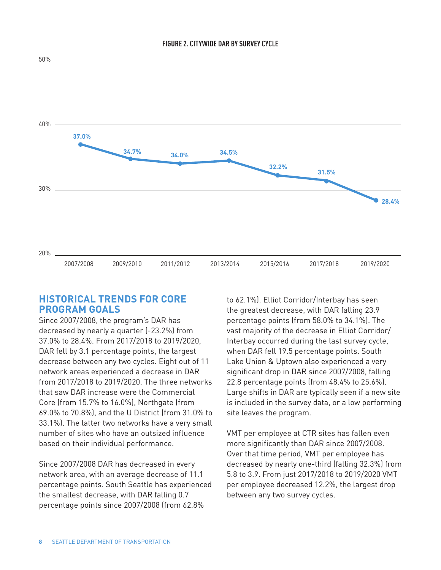

#### **FIGURE 2. CITYWIDE DAR BY SURVEY CYCLE**

### **HISTORICAL TRENDS FOR CORE PROGRAM GOALS**

Since 2007/2008, the program's DAR has decreased by nearly a quarter (-23.2%) from 37.0% to 28.4%. From 2017/2018 to 2019/2020, DAR fell by 3.1 percentage points, the largest decrease between any two cycles. Eight out of 11 network areas experienced a decrease in DAR from 2017/2018 to 2019/2020. The three networks that saw DAR increase were the Commercial Core (from 15.7% to 16.0%), Northgate (from 69.0% to 70.8%), and the U District (from 31.0% to 33.1%). The latter two networks have a very small number of sites who have an outsized influence based on their individual performance.

Since 2007/2008 DAR has decreased in every network area, with an average decrease of 11.1 percentage points. South Seattle has experienced the smallest decrease, with DAR falling 0.7 percentage points since 2007/2008 (from 62.8%

to 62.1%). Elliot Corridor/Interbay has seen the greatest decrease, with DAR falling 23.9 percentage points (from 58.0% to 34.1%). The vast majority of the decrease in Elliot Corridor/ Interbay occurred during the last survey cycle, when DAR fell 19.5 percentage points. South Lake Union & Uptown also experienced a very significant drop in DAR since 2007/2008, falling 22.8 percentage points (from 48.4% to 25.6%). Large shifts in DAR are typically seen if a new site is included in the survey data, or a low performing site leaves the program.

VMT per employee at CTR sites has fallen even more significantly than DAR since 2007/2008. Over that time period, VMT per employee has decreased by nearly one-third (falling 32.3%) from 5.8 to 3.9. From just 2017/2018 to 2019/2020 VMT per employee decreased 12.2%, the largest drop between any two survey cycles.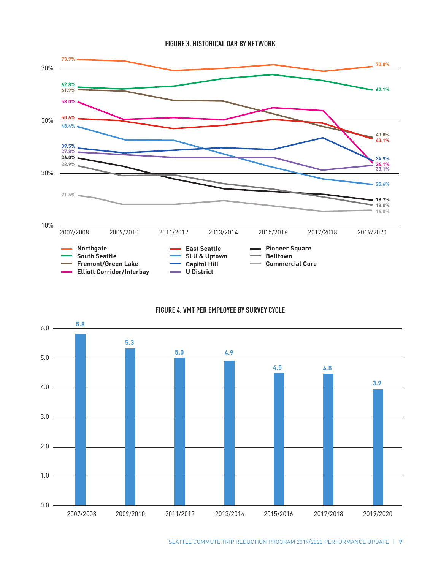



#### **FIGURE 4. VMT PER EMPLOYEE BY SURVEY CYCLE**

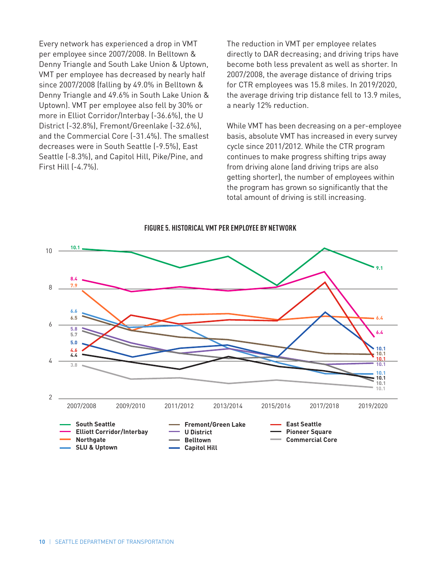Every network has experienced a drop in VMT per employee since 2007/2008. In Belltown & Denny Triangle and South Lake Union & Uptown, VMT per employee has decreased by nearly half since 2007/2008 (falling by 49.0% in Belltown & Denny Triangle and 49.6% in South Lake Union & Uptown). VMT per employee also fell by 30% or more in Elliot Corridor/Interbay (-36.6%), the U District (-32.8%), Fremont/Greenlake (-32.6%), and the Commercial Core (-31.4%). The smallest decreases were in South Seattle (-9.5%), East Seattle (-8.3%), and Capitol Hill, Pike/Pine, and First Hill (-4.7%).

The reduction in VMT per employee relates directly to DAR decreasing; and driving trips have become both less prevalent as well as shorter. In 2007/2008, the average distance of driving trips for CTR employees was 15.8 miles. In 2019/2020, the average driving trip distance fell to 13.9 miles, a nearly 12% reduction.

While VMT has been decreasing on a per-employee basis, absolute VMT has increased in every survey cycle since 2011/2012. While the CTR program continues to make progress shifting trips away from driving alone (and driving trips are also getting shorter), the number of employees within the program has grown so significantly that the total amount of driving is still increasing.



#### **FIGURE 5. HISTORICAL VMT PER EMPLOYEE BY NETWORK**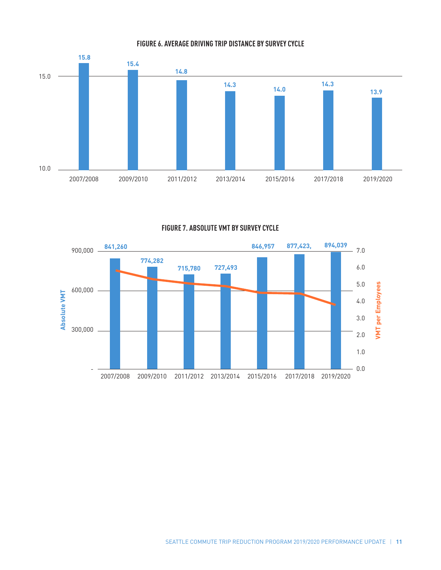

**FIGURE 6. AVERAGE DRIVING TRIP DISTANCE BY SURVEY CYCLE**

**FIGURE 7. ABSOLUTE VMT BY SURVEY CYCLE** 

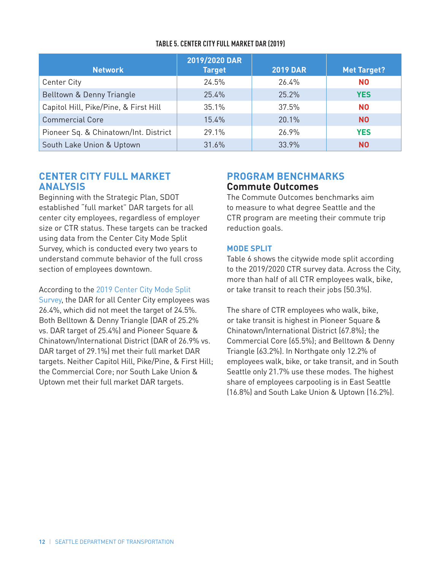| <b>Network</b>                        | 2019/2020 DAR<br><b>Target</b> | <b>2019 DAR</b> | <b>Met Target?</b> |
|---------------------------------------|--------------------------------|-----------------|--------------------|
| <b>Center City</b>                    | 24.5%                          | 26.4%           | <b>NO</b>          |
| Belltown & Denny Triangle             | 25.4%                          | 25.2%           | <b>YES</b>         |
| Capitol Hill, Pike/Pine, & First Hill | 35.1%                          | 37.5%           | <b>NO</b>          |
| <b>Commercial Core</b>                | 15.4%                          | 20.1%           | N <sub>0</sub>     |
| Pioneer Sq. & Chinatown/Int. District | 29.1%                          | 26.9%           | <b>YES</b>         |
| South Lake Union & Uptown             | 31.6%                          | 33.9%           | <b>NO</b>          |

#### **TABLE 5. CENTER CITY FULL MARKET DAR (2019)**

### **CENTER CITY FULL MARKET ANALYSIS**

Beginning with the Strategic Plan, SDOT established "full market" DAR targets for all center city employees, regardless of employer size or CTR status. These targets can be tracked using data from the Center City Mode Split Survey, which is conducted every two years to understand commute behavior of the full cross section of employees downtown.

According to the [2019 Center City Mode Split](https://www.commuteseattle.com/resource/2019-center-city-commuter-mode-split-survey-results/)  [Survey](https://www.commuteseattle.com/resource/2019-center-city-commuter-mode-split-survey-results/), the DAR for all Center City employees was 26.4%, which did not meet the target of 24.5%. Both Belltown & Denny Triangle (DAR of 25.2% vs. DAR target of 25.4%) and Pioneer Square & Chinatown/International District (DAR of 26.9% vs. DAR target of 29.1%) met their full market DAR targets. Neither Capitol Hill, Pike/Pine, & First Hill; the Commercial Core; nor South Lake Union & Uptown met their full market DAR targets.

## **PROGRAM BENCHMARKS Commute Outcomes**

The Commute Outcomes benchmarks aim to measure to what degree Seattle and the CTR program are meeting their commute trip reduction goals.

### **MODE SPLIT**

Table 6 shows the citywide mode split according to the 2019/2020 CTR survey data. Across the City, more than half of all CTR employees walk, bike, or take transit to reach their jobs (50.3%).

The share of CTR employees who walk, bike, or take transit is highest in Pioneer Square & Chinatown/International District (67.8%); the Commercial Core (65.5%); and Belltown & Denny Triangle (63.2%). In Northgate only 12.2% of employees walk, bike, or take transit, and in South Seattle only 21.7% use these modes. The highest share of employees carpooling is in East Seattle (16.8%) and South Lake Union & Uptown (16.2%).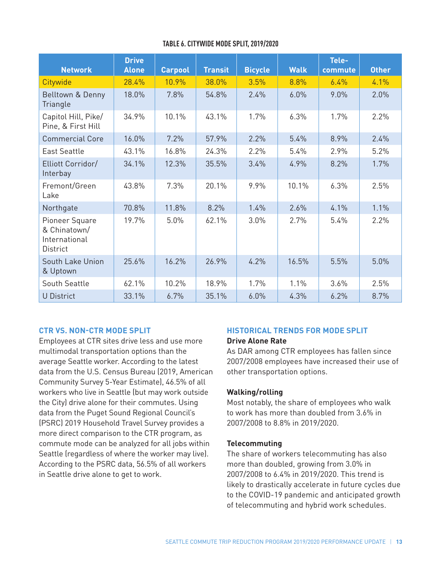| <b>Network</b>                                                     | <b>Drive</b><br><b>Alone</b> | <b>Carpool</b> | <b>Transit</b> | <b>Bicycle</b> | <b>Walk</b> | Tele-<br>commute | <b>Other</b> |
|--------------------------------------------------------------------|------------------------------|----------------|----------------|----------------|-------------|------------------|--------------|
| Citywide                                                           | 28.4%                        | 10.9%          | 38.0%          | 3.5%           | 8.8%        | 6.4%             | 4.1%         |
| Belltown & Denny<br>Triangle                                       | 18.0%                        | 7.8%           | 54.8%          | 2.4%           | 6.0%        | 9.0%             | 2.0%         |
| Capitol Hill, Pike/<br>Pine, & First Hill                          | 34.9%                        | 10.1%          | 43.1%          | 1.7%           | 6.3%        | 1.7%             | 2.2%         |
| <b>Commercial Core</b>                                             | 16.0%                        | 7.2%           | 57.9%          | 2.2%           | 5.4%        | 8.9%             | 2.4%         |
| <b>East Seattle</b>                                                | 43.1%                        | 16.8%          | 24.3%          | 2.2%           | 5.4%        | 2.9%             | 5.2%         |
| Elliott Corridor/<br>Interbay                                      | 34.1%                        | 12.3%          | 35.5%          | 3.4%           | 4.9%        | 8.2%             | 1.7%         |
| Fremont/Green<br>Lake                                              | 43.8%                        | 7.3%           | 20.1%          | 9.9%           | 10.1%       | 6.3%             | 2.5%         |
| Northgate                                                          | 70.8%                        | 11.8%          | 8.2%           | 1.4%           | 2.6%        | 4.1%             | 1.1%         |
| Pioneer Square<br>& Chinatown/<br>International<br><b>District</b> | 19.7%                        | 5.0%           | 62.1%          | 3.0%           | 2.7%        | 5.4%             | 2.2%         |
| South Lake Union<br>& Uptown                                       | 25.6%                        | 16.2%          | 26.9%          | 4.2%           | 16.5%       | 5.5%             | 5.0%         |
| South Seattle                                                      | 62.1%                        | 10.2%          | 18.9%          | 1.7%           | 1.1%        | 3.6%             | 2.5%         |
| U District                                                         | 33.1%                        | 6.7%           | 35.1%          | 6.0%           | 4.3%        | 6.2%             | 8.7%         |

#### **CTR VS. NON-CTR MODE SPLIT**

Employees at CTR sites drive less and use more multimodal transportation options than the average Seattle worker. According to the latest data from the U.S. Census Bureau (2019, American Community Survey 5-Year Estimate), 46.5% of all workers who live in Seattle (but may work outside the City) drive alone for their commutes. Using data from the Puget Sound Regional Council's (PSRC) 2019 Household Travel Survey provides a more direct comparison to the CTR program, as commute mode can be analyzed for all jobs within Seattle (regardless of where the worker may live). According to the PSRC data, 56.5% of all workers in Seattle drive alone to get to work.

## **HISTORICAL TRENDS FOR MODE SPLIT**

#### **Drive Alone Rate**

As DAR among CTR employees has fallen since 2007/2008 employees have increased their use of other transportation options.

#### **Walking/rolling**

Most notably, the share of employees who walk to work has more than doubled from 3.6% in 2007/2008 to 8.8% in 2019/2020.

#### **Telecommuting**

The share of workers telecommuting has also more than doubled, growing from 3.0% in 2007/2008 to 6.4% in 2019/2020. This trend is likely to drastically accelerate in future cycles due to the COVID-19 pandemic and anticipated growth of telecommuting and hybrid work schedules.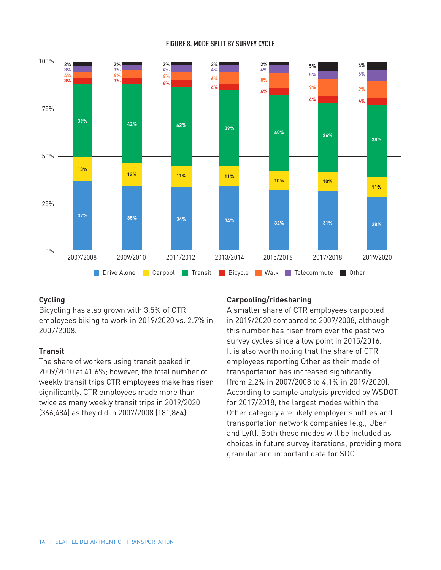#### **FIGURE 8. MODE SPLIT BY SURVEY CYCLE**



#### **Cycling**

Bicycling has also grown with 3.5% of CTR employees biking to work in 2019/2020 vs. 2.7% in 2007/2008.

#### **Transit**

The share of workers using transit peaked in 2009/2010 at 41.6%; however, the total number of weekly transit trips CTR employees make has risen significantly. CTR employees made more than twice as many weekly transit trips in 2019/2020 (366,484) as they did in 2007/2008 (181,864).

### **Carpooling/ridesharing**

A smaller share of CTR employees carpooled in 2019/2020 compared to 2007/2008, although this number has risen from over the past two survey cycles since a low point in 2015/2016. It is also worth noting that the share of CTR employees reporting Other as their mode of transportation has increased significantly (from 2.2% in 2007/2008 to 4.1% in 2019/2020). According to sample analysis provided by WSDOT for 2017/2018, the largest modes within the Other category are likely employer shuttles and transportation network companies (e.g., Uber and Lyft). Both these modes will be included as choices in future survey iterations, providing more granular and important data for SDOT.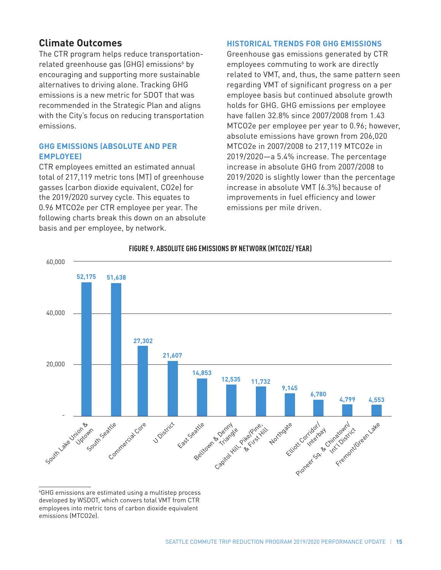## **Climate Outcomes**

The CTR program helps reduce transportationrelated greenhouse gas (GHG) emissions<sup>6</sup> by encouraging and supporting more sustainable alternatives to driving alone. Tracking GHG emissions is a new metric for SDOT that was recommended in the Strategic Plan and aligns with the City's focus on reducing transportation emissions.

#### **GHG EMISSIONS (ABSOLUTE AND PER EMPLOYEE)**

CTR employees emitted an estimated annual total of 217,119 metric tons (MT) of greenhouse gasses (carbon dioxide equivalent, CO2e) for the 2019/2020 survey cycle. This equates to 0.96 MTCO2e per CTR employee per year. The following charts break this down on an absolute basis and per employee, by network.

#### **HISTORICAL TRENDS FOR GHG EMISSIONS**

Greenhouse gas emissions generated by CTR employees commuting to work are directly related to VMT, and, thus, the same pattern seen regarding VMT of significant progress on a per employee basis but continued absolute growth holds for GHG. GHG emissions per employee have fallen 32.8% since 2007/2008 from 1.43 MTCO2e per employee per year to 0.96; however, absolute emissions have grown from 206,020 MTCO2e in 2007/2008 to 217,119 MTCO2e in 2019/2020—a 5.4% increase. The percentage increase in absolute GHG from 2007/2008 to 2019/2020 is slightly lower than the percentage increase in absolute VMT (6.3%) because of improvements in fuel efficiency and lower emissions per mile driven.



#### **FIGURE 9. ABSOLUTE GHG EMISSIONS BY NETWORK (MTCO2E/ YEAR)**

6 GHG emissions are estimated using a multistep process developed by WSDOT, which convers total VMT from CTR employees into metric tons of carbon dioxide equivalent emissions (MTCO2e).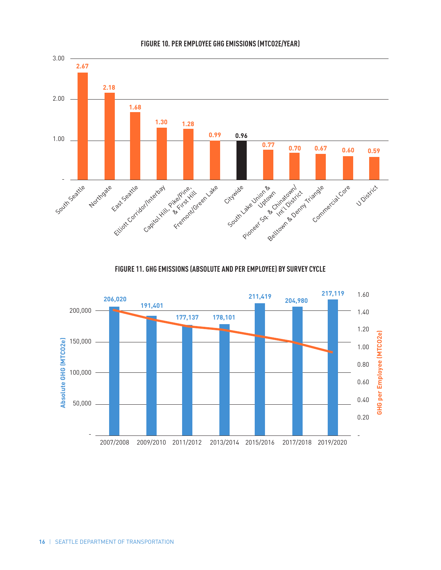

#### **FIGURE 10. PER EMPLOYEE GHG EMISSIONS (MTCO2E/YEAR)**

**FIGURE 11. GHG EMISSIONS (ABSOLUTE AND PER EMPLOYEE) BY SURVEY CYCLE**

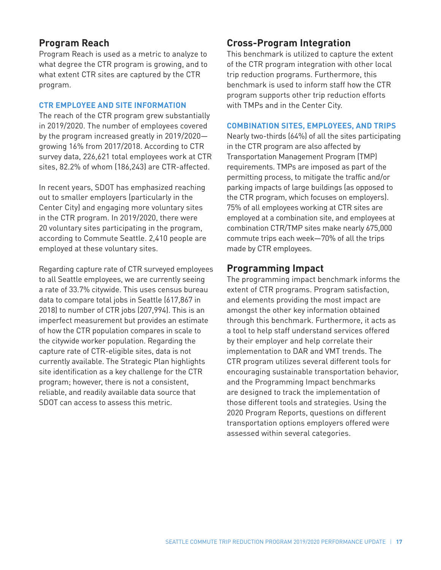## **Program Reach**

Program Reach is used as a metric to analyze to what degree the CTR program is growing, and to what extent CTR sites are captured by the CTR program.

#### **CTR EMPLOYEE AND SITE INFORMATION**

The reach of the CTR program grew substantially in 2019/2020. The number of employees covered by the program increased greatly in 2019/2020 growing 16% from 2017/2018. According to CTR survey data, 226,621 total employees work at CTR sites, 82.2% of whom (186,243) are CTR-affected.

In recent years, SDOT has emphasized reaching out to smaller employers (particularly in the Center City) and engaging more voluntary sites in the CTR program. In 2019/2020, there were 20 voluntary sites participating in the program, according to Commute Seattle. 2,410 people are employed at these voluntary sites.

Regarding capture rate of CTR surveyed employees to all Seattle employees, we are currently seeing a rate of 33.7% citywide. This uses census bureau data to compare total jobs in Seattle (617,867 in 2018) to number of CTR jobs (207,994). This is an imperfect measurement but provides an estimate of how the CTR population compares in scale to the citywide worker population. Regarding the capture rate of CTR-eligible sites, data is not currently available. The Strategic Plan highlights site identification as a key challenge for the CTR program; however, there is not a consistent, reliable, and readily available data source that SDOT can access to assess this metric.

## **Cross-Program Integration**

This benchmark is utilized to capture the extent of the CTR program integration with other local trip reduction programs. Furthermore, this benchmark is used to inform staff how the CTR program supports other trip reduction efforts with TMPs and in the Center City.

#### **COMBINATION SITES, EMPLOYEES, AND TRIPS**

Nearly two-thirds (64%) of all the sites participating in the CTR program are also affected by Transportation Management Program (TMP) requirements. TMPs are imposed as part of the permitting process, to mitigate the traffic and/or parking impacts of large buildings (as opposed to the CTR program, which focuses on employers). 75% of all employees working at CTR sites are employed at a combination site, and employees at combination CTR/TMP sites make nearly 675,000 commute trips each week—70% of all the trips made by CTR employees.

## **Programming Impact**

The programming impact benchmark informs the extent of CTR programs. Program satisfaction, and elements providing the most impact are amongst the other key information obtained through this benchmark. Furthermore, it acts as a tool to help staff understand services offered by their employer and help correlate their implementation to DAR and VMT trends. The CTR program utilizes several different tools for encouraging sustainable transportation behavior, and the Programming Impact benchmarks are designed to track the implementation of those different tools and strategies. Using the 2020 Program Reports, questions on different transportation options employers offered were assessed within several categories.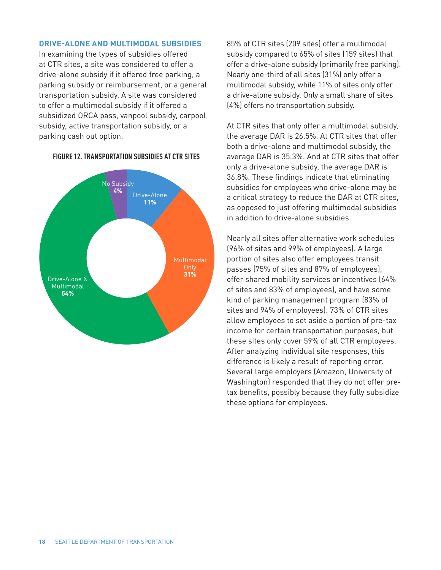#### **DRIVE-ALONE AND MULTIMODAL SUBSIDIES**

In examining the types of subsidies offered at CTR sites, a site was considered to offer a drive-alone subsidy if it offered free parking, a parking subsidy or reimbursement, or a general transportation subsidy. A site was considered to offer a multimodal subsidy if it offered a subsidized ORCA pass, vanpool subsidy, carpool subsidy, active transportation subsidy, or a parking cash out option.



#### **FIGURE 12. TRANSPORTATION SUBSIDIES AT CTR SITES**

85% of CTR sites (209 sites) offer a multimodal subsidy compared to 65% of sites (159 sites) that offer a drive-alone subsidy (primarily free parking). Nearly one-third of all sites (31%) only offer a multimodal subsidy, while 11% of sites only offer a drive-alone subsidy. Only a small share of sites (4%) offers no transportation subsidy.

At CTR sites that only offer a multimodal subsidy, the average DAR is 26.5%. At CTR sites that offer both a drive-alone and multimodal subsidy, the average DAR is 35.3%. And at CTR sites that offer only a drive-alone subsidy, the average DAR is 36.8%. These findings indicate that eliminating subsidies for employees who drive-alone may be a critical strategy to reduce the DAR at CTR sites, as opposed to just offering multimodal subsidies in addition to drive-alone subsidies.

Nearly all sites offer alternative work schedules (96% of sites and 99% of employees). A large portion of sites also offer employees transit passes (75% of sites and 87% of employees), offer shared mobility services or incentives (64% of sites and 83% of employees), and have some kind of parking management program (83% of sites and 94% of employees). 73% of CTR sites allow employees to set aside a portion of pre-tax income for certain transportation purposes, but these sites only cover 59% of all CTR employees. After analyzing individual site responses, this difference is likely a result of reporting error. Several large employers (Amazon, University of Washington) responded that they do not offer pretax benefits, possibly because they fully subsidize these options for employees.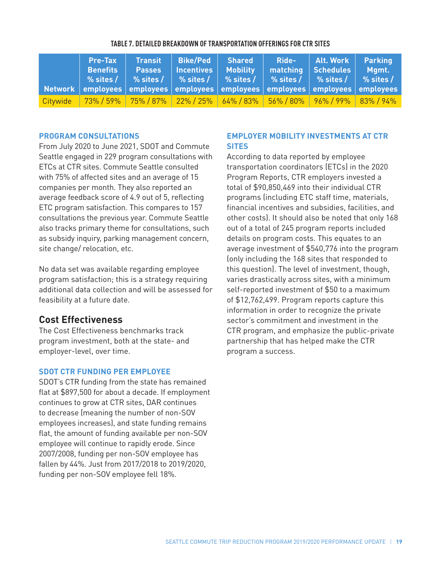| <b>Pre-Tax</b><br><b>Benefits</b> | <b>Transit   Bike/Ped   Shared</b><br><b>Passes   Incentives   Mobility</b><br>│Network │employees │employees │employees │employees │employees │employees │employees | matching Schedules Mgmt. | Ride-   Alt. Work   Parking |  |
|-----------------------------------|----------------------------------------------------------------------------------------------------------------------------------------------------------------------|--------------------------|-----------------------------|--|
|                                   | Citywide 73% / 59% 75% / 87% 22% / 25% 64% / 83% 56% / 80% 96% / 99% 83% / 94%                                                                                       |                          |                             |  |

#### **TABLE 7. DETAILED BREAKDOWN OF TRANSPORTATION OFFERINGS FOR CTR SITES**

#### **PROGRAM CONSULTATIONS**

From July 2020 to June 2021, SDOT and Commute Seattle engaged in 229 program consultations with ETCs at CTR sites. Commute Seattle consulted with 75% of affected sites and an average of 15 companies per month. They also reported an average feedback score of 4.9 out of 5, reflecting ETC program satisfaction. This compares to 157 consultations the previous year. Commute Seattle also tracks primary theme for consultations, such as subsidy inquiry, parking management concern, site change/ relocation, etc.

No data set was available regarding employee program satisfaction; this is a strategy requiring additional data collection and will be assessed for feasibility at a future date.

### **Cost Effectiveness**

The Cost Effectiveness benchmarks track program investment, both at the state- and employer-level, over time.

#### **SDOT CTR FUNDING PER EMPLOYEE**

SDOT's CTR funding from the state has remained flat at \$897,500 for about a decade. If employment continues to grow at CTR sites, DAR continues to decrease (meaning the number of non-SOV employees increases), and state funding remains flat, the amount of funding available per non-SOV employee will continue to rapidly erode. Since 2007/2008, funding per non-SOV employee has fallen by 44%. Just from 2017/2018 to 2019/2020, funding per non-SOV employee fell 18%.

### **EMPLOYER MOBILITY INVESTMENTS AT CTR SITES**

According to data reported by employee transportation coordinators (ETCs) in the 2020 Program Reports, CTR employers invested a total of \$90,850,469 into their individual CTR programs (including ETC staff time, materials, financial incentives and subsidies, facilities, and other costs). It should also be noted that only 168 out of a total of 245 program reports included details on program costs. This equates to an average investment of \$540,776 into the program (only including the 168 sites that responded to this question). The level of investment, though, varies drastically across sites, with a minimum self-reported investment of \$50 to a maximum of \$12,762,499. Program reports capture this information in order to recognize the private sector's commitment and investment in the CTR program, and emphasize the public-private partnership that has helped make the CTR program a success.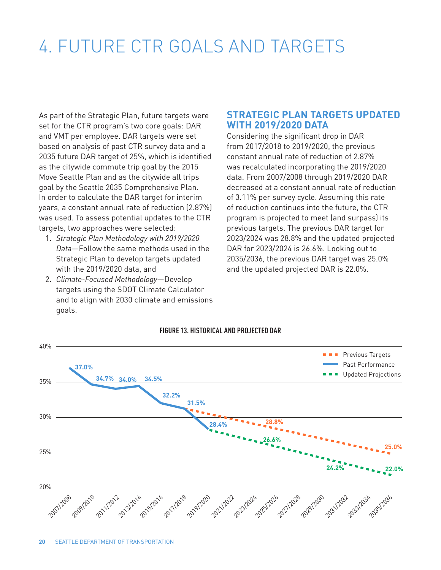## 4. FUTURE CTR GOALS AND TARGETS

As part of the Strategic Plan, future targets were set for the CTR program's two core goals: DAR and VMT per employee. DAR targets were set based on analysis of past CTR survey data and a 2035 future DAR target of 25%, which is identified as the citywide commute trip goal by the 2015 Move Seattle Plan and as the citywide all trips goal by the Seattle 2035 Comprehensive Plan. In order to calculate the DAR target for interim years, a constant annual rate of reduction (2.87%) was used. To assess potential updates to the CTR targets, two approaches were selected:

- 1. *Strategic Plan Methodology with 2019/2020 Data*—Follow the same methods used in the Strategic Plan to develop targets updated with the 2019/2020 data, and
- 2. *Climate-Focused Methodology*—Develop targets using the SDOT Climate Calculator and to align with 2030 climate and emissions goals.

## **STRATEGIC PLAN TARGETS UPDATED WITH 2019/2020 DATA**

Considering the significant drop in DAR from 2017/2018 to 2019/2020, the previous constant annual rate of reduction of 2.87% was recalculated incorporating the 2019/2020 data. From 2007/2008 through 2019/2020 DAR decreased at a constant annual rate of reduction of 3.11% per survey cycle. Assuming this rate of reduction continues into the future, the CTR program is projected to meet (and surpass) its previous targets. The previous DAR target for 2023/2024 was 28.8% and the updated projected DAR for 2023/2024 is 26.6%. Looking out to 2035/2036, the previous DAR target was 25.0% and the updated projected DAR is 22.0%.



#### **FIGURE 13. HISTORICAL AND PROJECTED DAR**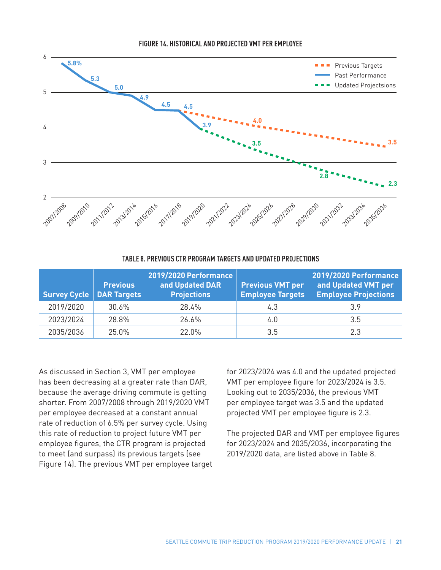

#### **FIGURE 14. HISTORICAL AND PROJECTED VMT PER EMPLOYEE**

#### **TABLE 8. PREVIOUS CTR PROGRAM TARGETS AND UPDATED PROJECTIONS**

| Survey Cycle   DAR Targets | <b>Previous</b> | 2019/2020 Performance<br>and Updated DAR<br><b>Projections</b> | <b>Previous VMT per</b><br><b>Employee Targets</b> | <b>2019/2020 Performance</b><br>and Updated VMT per<br><b>Employee Projections</b> |
|----------------------------|-----------------|----------------------------------------------------------------|----------------------------------------------------|------------------------------------------------------------------------------------|
| 2019/2020                  | 30.6%           | 28.4%                                                          | 4.3                                                | 3.9                                                                                |
| 2023/2024                  | 28.8%           | 26.6%                                                          | 4.0                                                | 3.5                                                                                |
| 2035/2036                  | 25.0%           | 22.0 <sub>%</sub>                                              | 3.5                                                | 2.3                                                                                |

As discussed in Section 3, VMT per employee has been decreasing at a greater rate than DAR, because the average driving commute is getting shorter. From 2007/2008 through 2019/2020 VMT per employee decreased at a constant annual rate of reduction of 6.5% per survey cycle. Using this rate of reduction to project future VMT per employee figures, the CTR program is projected to meet (and surpass) its previous targets (see Figure 14). The previous VMT per employee target for 2023/2024 was 4.0 and the updated projected VMT per employee figure for 2023/2024 is 3.5. Looking out to 2035/2036, the previous VMT per employee target was 3.5 and the updated projected VMT per employee figure is 2.3.

The projected DAR and VMT per employee figures for 2023/2024 and 2035/2036, incorporating the 2019/2020 data, are listed above in Table 8.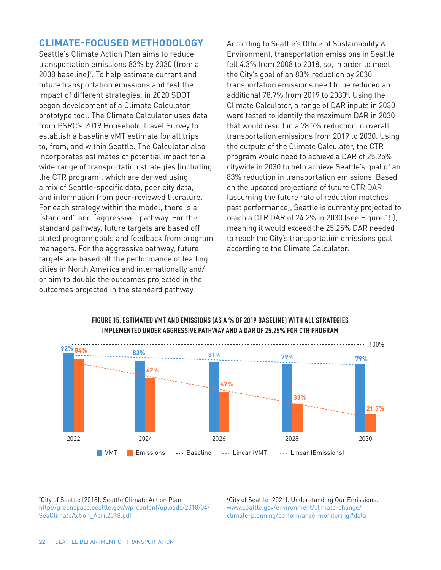## **CLIMATE-FOCUSED METHODOLOGY**

Seattle's Climate Action Plan aims to reduce transportation emissions 83% by 2030 (from a 2008 baseline)<sup>7</sup>. To help estimate current and future transportation emissions and test the impact of different strategies, in 2020 SDOT began development of a Climate Calculator prototype tool. The Climate Calculator uses data from PSRC's 2019 Household Travel Survey to establish a baseline VMT estimate for all trips to, from, and within Seattle. The Calculator also incorporates estimates of potential impact for a wide range of transportation strategies (including the CTR program), which are derived using a mix of Seattle-specific data, peer city data, and information from peer-reviewed literature. For each strategy within the model, there is a "standard" and "aggressive" pathway. For the standard pathway, future targets are based off stated program goals and feedback from program managers. For the aggressive pathway, future targets are based off the performance of leading cities in North America and internationally and/ or aim to double the outcomes projected in the outcomes projected in the standard pathway.

According to Seattle's Office of Sustainability & Environment, transportation emissions in Seattle fell 4.3% from 2008 to 2018, so, in order to meet the City's goal of an 83% reduction by 2030, transportation emissions need to be reduced an additional 78.7% from 2019 to 2030<sup>8</sup>. Using the Climate Calculator, a range of DAR inputs in 2030 were tested to identify the maximum DAR in 2030 that would result in a 78.7% reduction in overall transportation emissions from 2019 to 2030. Using the outputs of the Climate Calculator, the CTR program would need to achieve a DAR of 25.25% citywide in 2030 to help achieve Seattle's goal of an 83% reduction in transportation emissions. Based on the updated projections of future CTR DAR (assuming the future rate of reduction matches past performance), Seattle is currently projected to reach a CTR DAR of 24.2% in 2030 (see Figure 15), meaning it would exceed the 25.25% DAR needed to reach the City's transportation emissions goal according to the Climate Calculator.



### **FIGURE 15. ESTIMATED VMT AND EMISSIONS (AS A % OF 2019 BASELINE) WITH ALL STRATEGIES IMPLEMENTED UNDER AGGRESSIVE PATHWAY AND A DAR OF 25.25% FOR CTR PROGRAM**

7 City of Seattle (2018). Seattle Climate Action Plan. http://greenspace.seattle.gov/wp-content/uploads/2018/04/ SeaClimateAction\_April2018.pdf

8 City of Seattle (2021). Understanding Our Emissions. www.seattle.gov/environment/climate-change/ climate-planning/performance-monitoring#data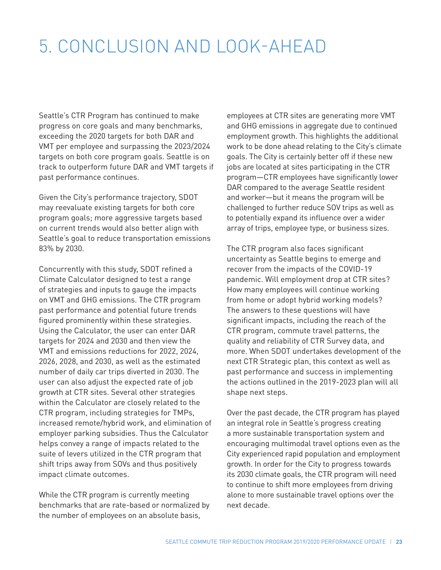## 5. CONCLUSION AND LOOK-AHEAD

Seattle's CTR Program has continued to make progress on core goals and many benchmarks, exceeding the 2020 targets for both DAR and VMT per employee and surpassing the 2023/2024 targets on both core program goals. Seattle is on track to outperform future DAR and VMT targets if past performance continues.

Given the City's performance trajectory, SDOT may reevaluate existing targets for both core program goals; more aggressive targets based on current trends would also better align with Seattle's goal to reduce transportation emissions 83% by 2030.

Concurrently with this study, SDOT refined a Climate Calculator designed to test a range of strategies and inputs to gauge the impacts on VMT and GHG emissions. The CTR program past performance and potential future trends figured prominently within these strategies. Using the Calculator, the user can enter DAR targets for 2024 and 2030 and then view the VMT and emissions reductions for 2022, 2024, 2026, 2028, and 2030, as well as the estimated number of daily car trips diverted in 2030. The user can also adjust the expected rate of job growth at CTR sites. Several other strategies within the Calculator are closely related to the CTR program, including strategies for TMPs, increased remote/hybrid work, and elimination of employer parking subsidies. Thus the Calculator helps convey a range of impacts related to the suite of levers utilized in the CTR program that shift trips away from SOVs and thus positively impact climate outcomes.

While the CTR program is currently meeting benchmarks that are rate-based or normalized by the number of employees on an absolute basis,

employees at CTR sites are generating more VMT and GHG emissions in aggregate due to continued employment growth. This highlights the additional work to be done ahead relating to the City's climate goals. The City is certainly better off if these new jobs are located at sites participating in the CTR program—CTR employees have significantly lower DAR compared to the average Seattle resident and worker—but it means the program will be challenged to further reduce SOV trips as well as to potentially expand its influence over a wider array of trips, employee type, or business sizes.

The CTR program also faces significant uncertainty as Seattle begins to emerge and recover from the impacts of the COVID-19 pandemic. Will employment drop at CTR sites? How many employees will continue working from home or adopt hybrid working models? The answers to these questions will have significant impacts, including the reach of the CTR program, commute travel patterns, the quality and reliability of CTR Survey data, and more. When SDOT undertakes development of the next CTR Strategic plan, this context as well as past performance and success in implementing the actions outlined in the 2019-2023 plan will all shape next steps.

Over the past decade, the CTR program has played an integral role in Seattle's progress creating a more sustainable transportation system and encouraging multimodal travel options even as the City experienced rapid population and employment growth. In order for the City to progress towards its 2030 climate goals, the CTR program will need to continue to shift more employees from driving alone to more sustainable travel options over the next decade.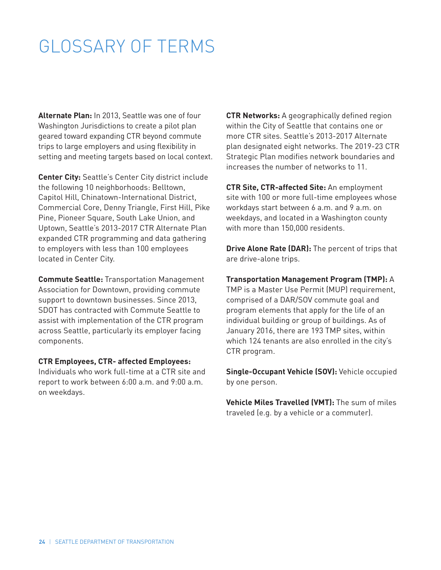## GLOSSARY OF TERMS

**Alternate Plan:** In 2013, Seattle was one of four Washington Jurisdictions to create a pilot plan geared toward expanding CTR beyond commute trips to large employers and using flexibility in setting and meeting targets based on local context.

**Center City:** Seattle's Center City district include the following 10 neighborhoods: Belltown, Capitol Hill, Chinatown-International District, Commercial Core, Denny Triangle, First Hill, Pike Pine, Pioneer Square, South Lake Union, and Uptown, Seattle's 2013-2017 CTR Alternate Plan expanded CTR programming and data gathering to employers with less than 100 employees located in Center City.

**Commute Seattle:** Transportation Management Association for Downtown, providing commute support to downtown businesses. Since 2013, SDOT has contracted with Commute Seattle to assist with implementation of the CTR program across Seattle, particularly its employer facing components.

#### **CTR Employees, CTR- affected Employees:**

Individuals who work full-time at a CTR site and report to work between 6:00 a.m. and 9:00 a.m. on weekdays.

**CTR Networks:** A geographically defined region within the City of Seattle that contains one or more CTR sites. Seattle's 2013-2017 Alternate plan designated eight networks. The 2019-23 CTR Strategic Plan modifies network boundaries and increases the number of networks to 11.

**CTR Site, CTR-affected Site:** An employment site with 100 or more full-time employees whose workdays start between 6 a.m. and 9 a.m. on weekdays, and located in a Washington county with more than 150,000 residents.

**Drive Alone Rate (DAR):** The percent of trips that are drive-alone trips.

**Transportation Management Program (TMP):** A TMP is a Master Use Permit (MUP) requirement, comprised of a DAR/SOV commute goal and program elements that apply for the life of an individual building or group of buildings. As of January 2016, there are 193 TMP sites, within which 124 tenants are also enrolled in the city's CTR program.

**Single-Occupant Vehicle (SOV):** Vehicle occupied by one person.

**Vehicle Miles Travelled (VMT):** The sum of miles traveled (e.g. by a vehicle or a commuter).